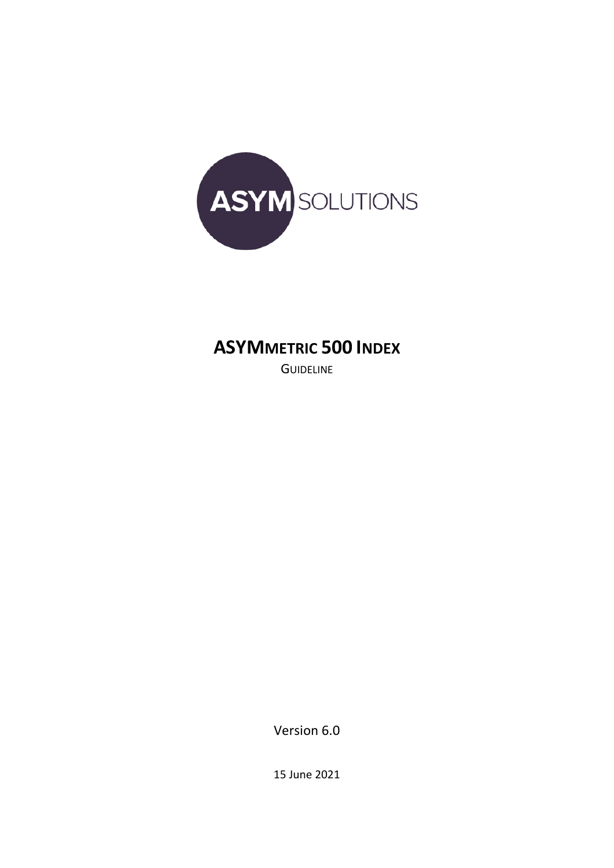

### **ASYMMETRIC 500 INDEX**

**GUIDELINE** 

Version 6.0

15 June 2021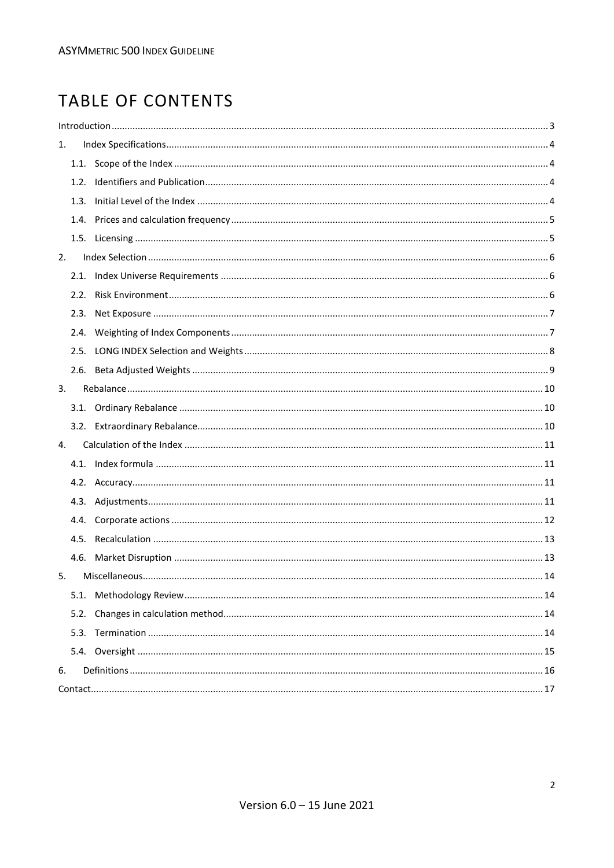### TABLE OF CONTENTS

| 1. |      |  |
|----|------|--|
|    |      |  |
|    |      |  |
|    | 1.3. |  |
|    |      |  |
|    |      |  |
| 2. |      |  |
|    |      |  |
|    |      |  |
|    |      |  |
|    |      |  |
|    |      |  |
|    |      |  |
| 3. |      |  |
|    |      |  |
|    |      |  |
| 4. |      |  |
|    |      |  |
|    |      |  |
|    |      |  |
|    |      |  |
|    |      |  |
|    |      |  |
| 5. |      |  |
|    |      |  |
|    | 5.2. |  |
|    | 5.3. |  |
|    |      |  |
| 6. |      |  |
|    |      |  |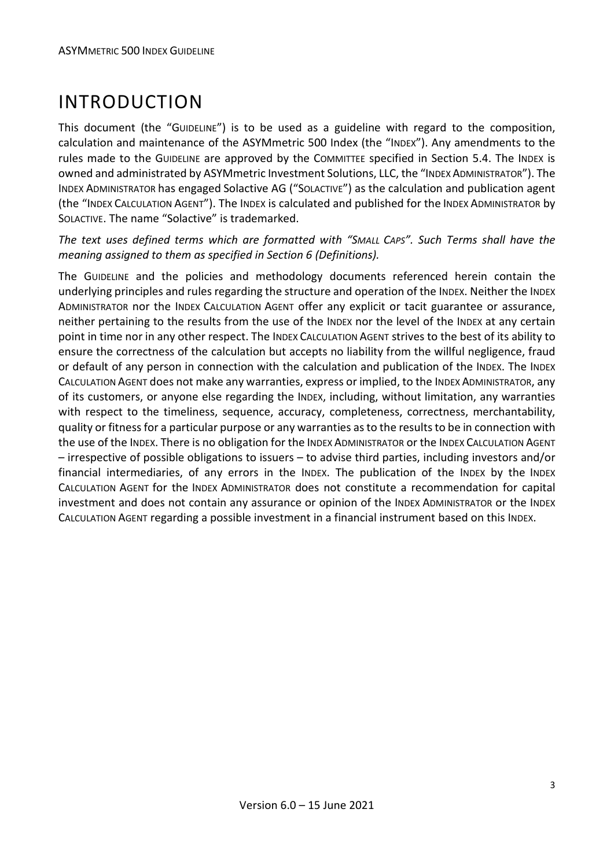## <span id="page-2-0"></span>INTRODUCTION

This document (the "GUIDELINE") is to be used as a guideline with regard to the composition, calculation and maintenance of the ASYMmetric 500 Index (the "INDEX"). Any amendments to the rules made to the GUIDELINE are approved by the COMMITTEE specified in Section 5.4. The INDEX is owned and administrated by ASYMmetric Investment Solutions, LLC, the "INDEX ADMINISTRATOR"). The INDEX ADMINISTRATOR has engaged Solactive AG ("SOLACTIVE") as the calculation and publication agent (the "INDEX CALCULATION AGENT"). The INDEX is calculated and published for the INDEX ADMINISTRATOR by SOLACTIVE. The name "Solactive" is trademarked.

*The text uses defined terms which are formatted with "SMALL CAPS". Such Terms shall have the meaning assigned to them as specified in Section 6 (Definitions).*

The GUIDELINE and the policies and methodology documents referenced herein contain the underlying principles and rules regarding the structure and operation of the INDEX. Neither the INDEX ADMINISTRATOR nor the INDEX CALCULATION AGENT offer any explicit or tacit guarantee or assurance, neither pertaining to the results from the use of the INDEX nor the level of the INDEX at any certain point in time nor in any other respect. The INDEX CALCULATION AGENT strives to the best of its ability to ensure the correctness of the calculation but accepts no liability from the willful negligence, fraud or default of any person in connection with the calculation and publication of the INDEX. The INDEX CALCULATION AGENT does not make any warranties, express or implied, to the INDEX ADMINISTRATOR, any of its customers, or anyone else regarding the INDEX, including, without limitation, any warranties with respect to the timeliness, sequence, accuracy, completeness, correctness, merchantability, quality or fitness for a particular purpose or any warranties as to the results to be in connection with the use of the INDEX. There is no obligation for the INDEX ADMINISTRATOR or the INDEX CALCULATION AGENT – irrespective of possible obligations to issuers – to advise third parties, including investors and/or financial intermediaries, of any errors in the INDEX. The publication of the INDEX by the INDEX CALCULATION AGENT for the INDEX ADMINISTRATOR does not constitute a recommendation for capital investment and does not contain any assurance or opinion of the INDEX ADMINISTRATOR or the INDEX CALCULATION AGENT regarding a possible investment in a financial instrument based on this INDEX.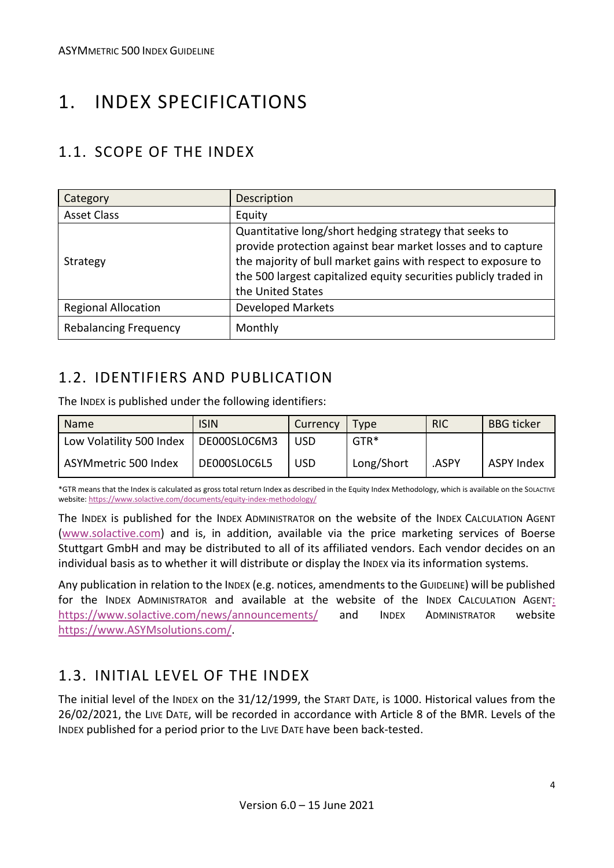## <span id="page-3-0"></span>1. INDEX SPECIFICATIONS

#### <span id="page-3-1"></span>1.1. SCOPE OF THE INDEX

| Category                     | Description                                                                                                                                                                                                                                                                      |
|------------------------------|----------------------------------------------------------------------------------------------------------------------------------------------------------------------------------------------------------------------------------------------------------------------------------|
| <b>Asset Class</b>           | Equity                                                                                                                                                                                                                                                                           |
| Strategy                     | Quantitative long/short hedging strategy that seeks to<br>provide protection against bear market losses and to capture<br>the majority of bull market gains with respect to exposure to<br>the 500 largest capitalized equity securities publicly traded in<br>the United States |
| <b>Regional Allocation</b>   | <b>Developed Markets</b>                                                                                                                                                                                                                                                         |
| <b>Rebalancing Frequency</b> | Monthly                                                                                                                                                                                                                                                                          |

#### <span id="page-3-2"></span>1.2. IDENTIFIERS AND PUBLICATION

The INDEX is published under the following identifiers:

| Name                                    | <b>ISIN</b>  | Currency   | <b>Type</b> | <b>RIC</b> | <b>BBG</b> ticker |
|-----------------------------------------|--------------|------------|-------------|------------|-------------------|
| Low Volatility 500 Index   DE000SL0C6M3 |              | <b>USD</b> | GTR*        |            |                   |
| ASYMmetric 500 Index                    | DE000SL0C6L5 | <b>USD</b> | Long/Short  | ASPY.      | ASPY Index        |

\*GTR means that the Index is calculated as gross total return Index as described in the Equity Index Methodology, which is available on the SOLACTIVE website[: https://www.solactive.com/documents/equity-index-methodology/](https://www.solactive.com/documents/equity-index-methodology/)

The INDEX is published for the INDEX ADMINISTRATOR on the website of the INDEX CALCULATION AGENT [\(www.solactive.com\)](http://www.solactive.com/) and is, in addition, available via the price marketing services of Boerse Stuttgart GmbH and may be distributed to all of its affiliated vendors. Each vendor decides on an individual basis as to whether it will distribute or display the INDEX via its information systems.

Any publication in relation to the INDEX (e.g. notices, amendments to the GUIDELINE) will be published for the INDEX ADMINISTRATOR and available at the website of the INDEX CALCULATION AGENT: <https://www.solactive.com/news/announcements/> and INDEX ADMINISTRATOR website [https://www.ASYMsolutions.com/.](https://www.asymsolutions.com/)

#### <span id="page-3-3"></span>1.3. INITIAL LEVEL OF THE INDEX

The initial level of the INDEX on the 31/12/1999, the START DATE, is 1000. Historical values from the 26/02/2021, the LIVE DATE, will be recorded in accordance with Article 8 of the BMR. Levels of the INDEX published for a period prior to the LIVE DATE have been back-tested.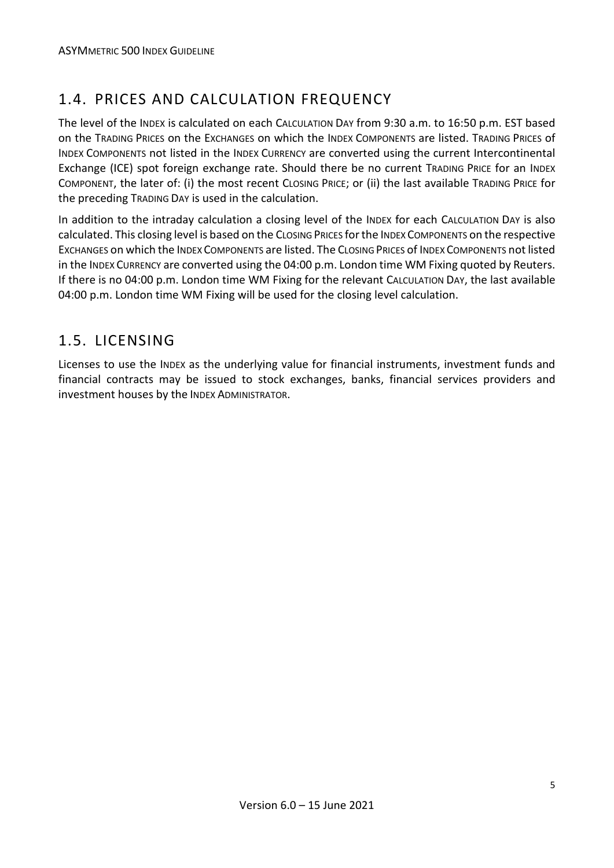#### <span id="page-4-0"></span>1.4. PRICES AND CALCULATION FREQUENCY

The level of the INDEX is calculated on each CALCULATION DAY from 9:30 a.m. to 16:50 p.m. EST based on the TRADING PRICES on the EXCHANGES on which the INDEX COMPONENTS are listed. TRADING PRICES of INDEX COMPONENTS not listed in the INDEX CURRENCY are converted using the current Intercontinental Exchange (ICE) spot foreign exchange rate. Should there be no current TRADING PRICE for an INDEX COMPONENT, the later of: (i) the most recent CLOSING PRICE; or (ii) the last available TRADING PRICE for the preceding TRADING DAY is used in the calculation.

In addition to the intraday calculation a closing level of the INDEX for each CALCULATION DAY is also calculated. This closing level is based on the CLOSING PRICES for the INDEX COMPONENTS on the respective EXCHANGES on which the INDEX COMPONENTS are listed. The CLOSING PRICES of INDEX COMPONENTS not listed in the INDEX CURRENCY are converted using the 04:00 p.m. London time WM Fixing quoted by Reuters. If there is no 04:00 p.m. London time WM Fixing for the relevant CALCULATION DAY, the last available 04:00 p.m. London time WM Fixing will be used for the closing level calculation.

#### <span id="page-4-1"></span>1.5. LICENSING

Licenses to use the INDEX as the underlying value for financial instruments, investment funds and financial contracts may be issued to stock exchanges, banks, financial services providers and investment houses by the INDEX ADMINISTRATOR.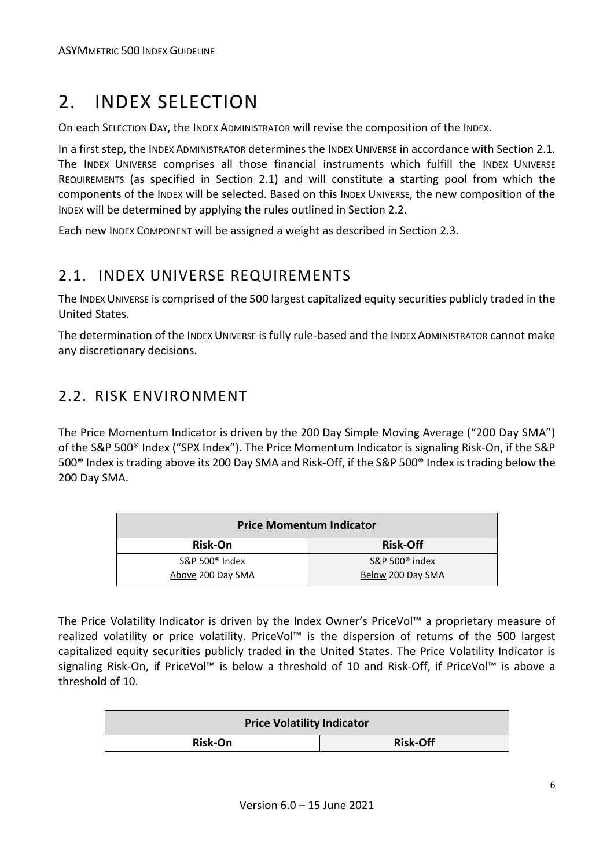### <span id="page-5-0"></span>2. INDEX SELECTION

On each SELECTION DAY, the INDEX ADMINISTRATOR will revise the composition of the INDEX.

In a first step, the INDEX ADMINISTRATOR determines the INDEX UNIVERSE in accordance with Section 2.1. The INDEX UNIVERSE comprises all those financial instruments which fulfill the INDEX UNIVERSE REQUIREMENTS (as specified in Section 2.1) and will constitute a starting pool from which the components of the INDEX will be selected. Based on this INDEX UNIVERSE, the new composition of the INDEX will be determined by applying the rules outlined in Section 2.2.

Each new INDEX COMPONENT will be assigned a weight as described in Section 2.3.

#### <span id="page-5-1"></span>2.1. INDEX UNIVERSE REQUIREMENTS

The INDEX UNIVERSE is comprised of the 500 largest capitalized equity securities publicly traded in the United States.

The determination of the INDEX UNIVERSE is fully rule-based and the INDEX ADMINISTRATOR cannot make any discretionary decisions.

#### <span id="page-5-2"></span>2.2. RISK ENVIRONMENT

The Price Momentum Indicator is driven by the 200 Day Simple Moving Average ("200 Day SMA") of the S&P 500® Index ("SPX Index"). The Price Momentum Indicator is signaling Risk-On, if the S&P 500® Index is trading above its 200 Day SMA and Risk-Off, if the S&P 500® Index is trading below the 200 Day SMA.

| <b>Price Momentum Indicator</b> |                          |  |  |
|---------------------------------|--------------------------|--|--|
| Risk-On                         | <b>Risk-Off</b>          |  |  |
| S&P 500 $^{\circ}$ Index        | S&P 500 $^{\circ}$ index |  |  |
| Above 200 Day SMA               | Below 200 Day SMA        |  |  |

The Price Volatility Indicator is driven by the Index Owner's PriceVol™ a proprietary measure of realized volatility or price volatility. PriceVol™ is the dispersion of returns of the 500 largest capitalized equity securities publicly traded in the United States. The Price Volatility Indicator is signaling Risk-On, if PriceVol<sup>™</sup> is below a threshold of 10 and Risk-Off, if PriceVol™ is above a threshold of 10.

| <b>Price Volatility Indicator</b> |                 |  |  |
|-----------------------------------|-----------------|--|--|
| <b>Risk-On</b>                    | <b>Risk-Off</b> |  |  |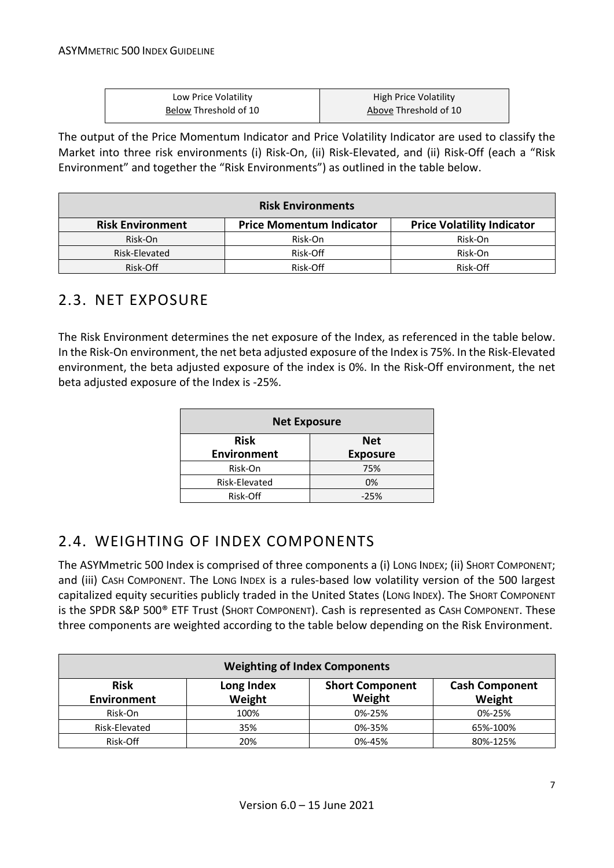| Low Price Volatility  | High Price Volatility |
|-----------------------|-----------------------|
| Below Threshold of 10 | Above Threshold of 10 |

The output of the Price Momentum Indicator and Price Volatility Indicator are used to classify the Market into three risk environments (i) Risk-On, (ii) Risk-Elevated, and (ii) Risk-Off (each a "Risk Environment" and together the "Risk Environments") as outlined in the table below.

| <b>Risk Environments</b> |                                   |          |  |  |
|--------------------------|-----------------------------------|----------|--|--|
| <b>Risk Environment</b>  | <b>Price Volatility Indicator</b> |          |  |  |
| Risk-On                  | Risk-On                           | Risk-On  |  |  |
| Risk-Elevated            | Risk-Off                          | Risk-On  |  |  |
| Risk-Off                 | Risk-Off                          | Risk-Off |  |  |

#### <span id="page-6-0"></span>2.3. NET EXPOSURE

The Risk Environment determines the net exposure of the Index, as referenced in the table below. In the Risk-On environment, the net beta adjusted exposure of the Index is 75%. In the Risk-Elevated environment, the beta adjusted exposure of the index is 0%. In the Risk-Off environment, the net beta adjusted exposure of the Index is -25%.

| <b>Net Exposure</b>       |                 |  |  |
|---------------------------|-----------------|--|--|
| <b>Risk</b><br><b>Net</b> |                 |  |  |
| <b>Environment</b>        | <b>Exposure</b> |  |  |
| Risk-On                   | 75%             |  |  |
| Risk-Elevated             | 0%              |  |  |
| Risk-Off                  | $-25%$          |  |  |

#### <span id="page-6-1"></span>2.4. WEIGHTING OF INDEX COMPONENTS

The ASYMmetric 500 Index is comprised of three components a (i) LONG INDEX; (ii) SHORT COMPONENT; and (iii) CASH COMPONENT. The LONG INDEX is a rules-based low volatility version of the 500 largest capitalized equity securities publicly traded in the United States (LONG INDEX). The SHORT COMPONENT is the SPDR S&P 500® ETF Trust (SHORT COMPONENT). Cash is represented as CASH COMPONENT. These three components are weighted according to the table below depending on the Risk Environment.

| <b>Weighting of Index Components</b> |                      |                                  |                                 |  |  |
|--------------------------------------|----------------------|----------------------------------|---------------------------------|--|--|
| <b>Risk</b><br><b>Environment</b>    | Long Index<br>Weight | <b>Short Component</b><br>Weight | <b>Cash Component</b><br>Weight |  |  |
| Risk-On                              | 100%                 | 0%-25%                           | 0%-25%                          |  |  |
| Risk-Elevated                        | 35%                  | 0%-35%                           | 65%-100%                        |  |  |
| Risk-Off                             | 20%                  | 0%-45%                           | 80%-125%                        |  |  |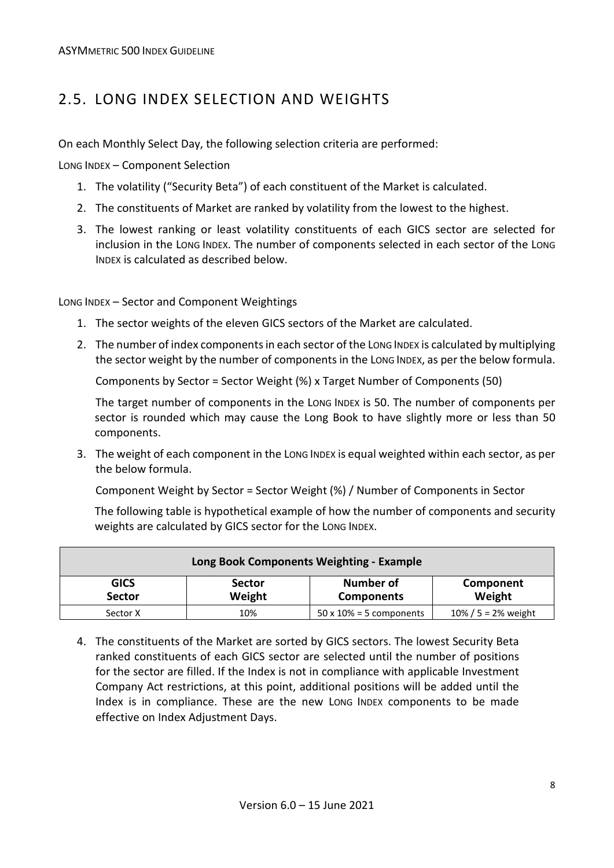#### <span id="page-7-0"></span>2.5. LONG INDEX SELECTION AND WEIGHTS

On each Monthly Select Day, the following selection criteria are performed:

LONG INDEX – Component Selection

- 1. The volatility ("Security Beta") of each constituent of the Market is calculated.
- 2. The constituents of Market are ranked by volatility from the lowest to the highest.
- 3. The lowest ranking or least volatility constituents of each GICS sector are selected for inclusion in the LONG INDEX. The number of components selected in each sector of the LONG INDEX is calculated as described below.

LONG INDEX – Sector and Component Weightings

- 1. The sector weights of the eleven GICS sectors of the Market are calculated.
- 2. The number of index components in each sector of the LONG INDEX is calculated by multiplying the sector weight by the number of components in the LONG INDEX, as per the below formula.

Components by Sector = Sector Weight (%) x Target Number of Components (50)

The target number of components in the LONG INDEX is 50. The number of components per sector is rounded which may cause the Long Book to have slightly more or less than 50 components.

3. The weight of each component in the LONG INDEX is equal weighted within each sector, as per the below formula.

Component Weight by Sector = Sector Weight (%) / Number of Components in Sector

The following table is hypothetical example of how the number of components and security weights are calculated by GICS sector for the LONG INDEX.

| Long Book Components Weighting - Example                                                                                |     |                                 |                         |  |
|-------------------------------------------------------------------------------------------------------------------------|-----|---------------------------------|-------------------------|--|
| <b>Number of</b><br><b>GICS</b><br><b>Sector</b><br>Component<br>Weight<br>Weight<br><b>Sector</b><br><b>Components</b> |     |                                 |                         |  |
| Sector X                                                                                                                | 10% | $50 \times 10\% = 5$ components | $10\% / 5 = 2\%$ weight |  |

4. The constituents of the Market are sorted by GICS sectors. The lowest Security Beta ranked constituents of each GICS sector are selected until the number of positions for the sector are filled. If the Index is not in compliance with applicable Investment Company Act restrictions, at this point, additional positions will be added until the Index is in compliance. These are the new LONG INDEX components to be made effective on Index Adjustment Days.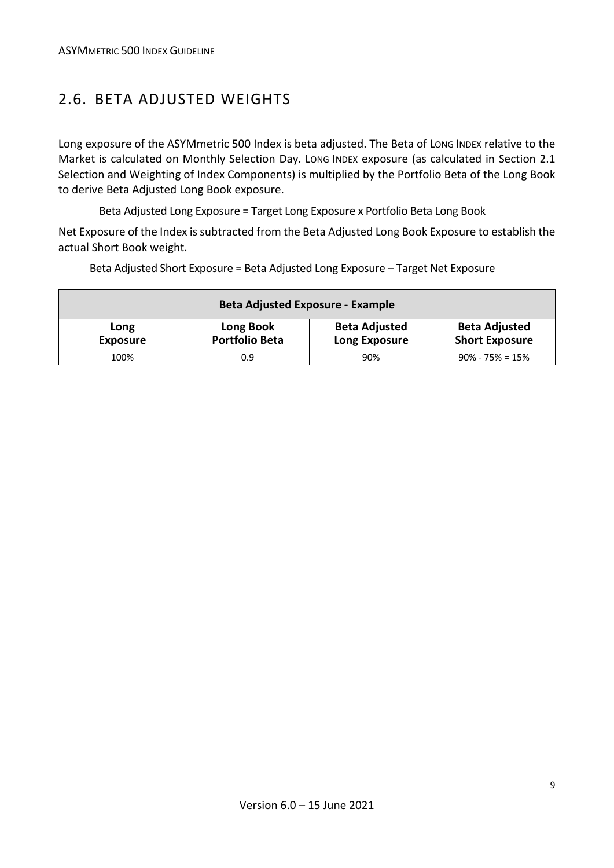#### <span id="page-8-0"></span>2.6. BETA ADJUSTED WEIGHTS

Long exposure of the ASYMmetric 500 Index is beta adjusted. The Beta of LONG INDEX relative to the Market is calculated on Monthly Selection Day. LONG INDEX exposure (as calculated in Section 2.1 Selection and Weighting of Index Components) is multiplied by the Portfolio Beta of the Long Book to derive Beta Adjusted Long Book exposure.

Beta Adjusted Long Exposure = Target Long Exposure x Portfolio Beta Long Book

Net Exposure of the Index is subtracted from the Beta Adjusted Long Book Exposure to establish the actual Short Book weight.

| <b>Beta Adjusted Exposure - Example</b> |                                    |                                              |                                               |  |
|-----------------------------------------|------------------------------------|----------------------------------------------|-----------------------------------------------|--|
| Long<br><b>Exposure</b>                 | Long Book<br><b>Portfolio Beta</b> | <b>Beta Adjusted</b><br><b>Long Exposure</b> | <b>Beta Adjusted</b><br><b>Short Exposure</b> |  |
| 100%                                    | 0.9                                | 90%                                          | $90\% - 75\% = 15\%$                          |  |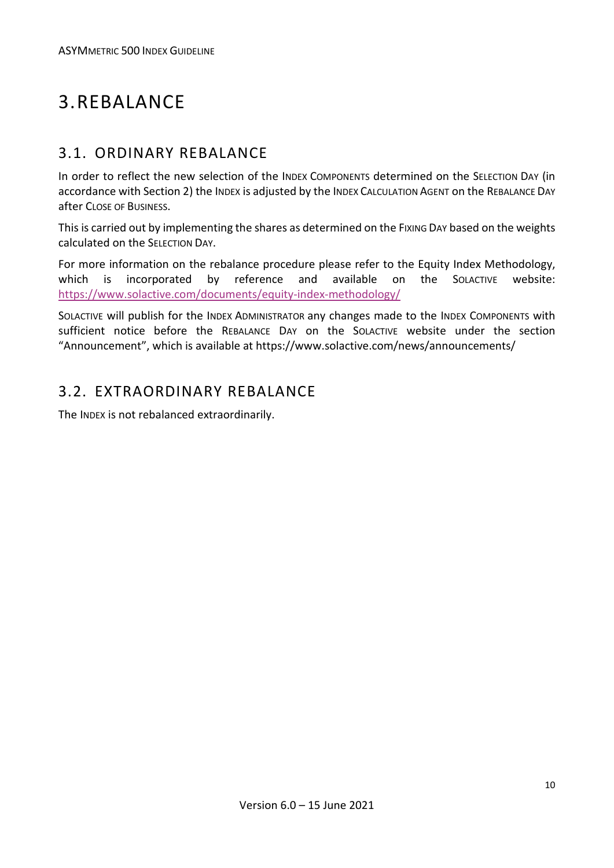### <span id="page-9-0"></span>3.REBALANCE

#### <span id="page-9-1"></span>3.1. ORDINARY REBALANCE

In order to reflect the new selection of the INDEX COMPONENTS determined on the SELECTION DAY (in accordance with Section 2) the INDEX is adjusted by the INDEX CALCULATION AGENT on the REBALANCE DAY after CLOSE OF BUSINESS.

This is carried out by implementing the shares as determined on the FIXING DAY based on the weights calculated on the SELECTION DAY.

For more information on the rebalance procedure please refer to the Equity Index Methodology, which is incorporated by reference and available on the SOLACTIVE website: <https://www.solactive.com/documents/equity-index-methodology/>

SOLACTIVE will publish for the INDEX ADMINISTRATOR any changes made to the INDEX COMPONENTS with sufficient notice before the REBALANCE DAY on the SOLACTIVE website under the section "Announcement", which is available at https://www.solactive.com/news/announcements/

#### <span id="page-9-2"></span>3.2. EXTRAORDINARY REBALANCE

The INDEX is not rebalanced extraordinarily.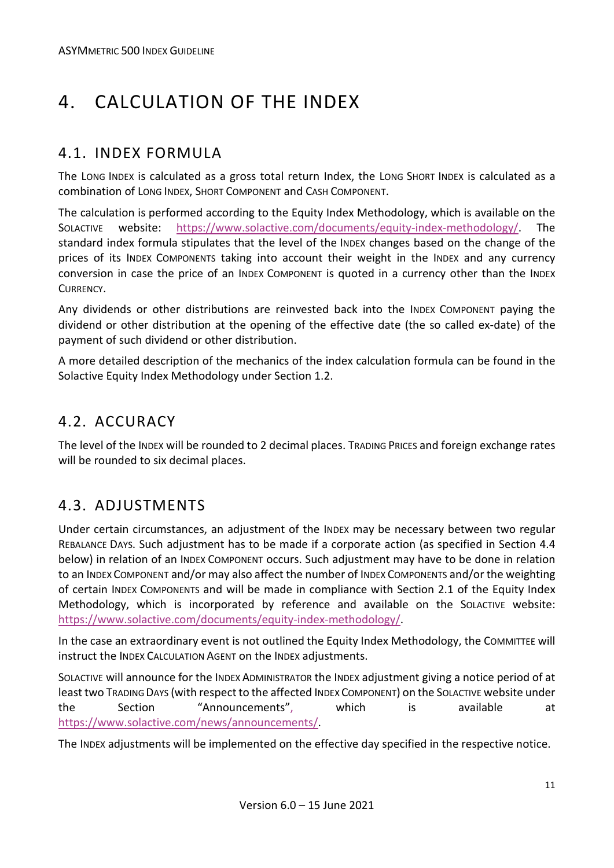# <span id="page-10-0"></span>4. CALCULATION OF THE INDEX

#### <span id="page-10-1"></span>4.1. INDEX FORMULA

The LONG INDEX is calculated as a gross total return Index, the LONG SHORT INDEX is calculated as a combination of LONG INDEX, SHORT COMPONENT and CASH COMPONENT.

The calculation is performed according to the Equity Index Methodology, which is available on the SOLACTIVE website: [https://www.solactive.com/documents/equity-index-methodology/.](https://www.solactive.com/documents/equity-index-methodology/) The standard index formula stipulates that the level of the INDEX changes based on the change of the prices of its INDEX COMPONENTS taking into account their weight in the INDEX and any currency conversion in case the price of an INDEX COMPONENT is quoted in a currency other than the INDEX CURRENCY.

Any dividends or other distributions are reinvested back into the INDEX COMPONENT paying the dividend or other distribution at the opening of the effective date (the so called ex-date) of the payment of such dividend or other distribution.

A more detailed description of the mechanics of the index calculation formula can be found in the Solactive Equity Index Methodology under Section 1.2.

#### <span id="page-10-2"></span>4.2. ACCURACY

The level of the INDEX will be rounded to 2 decimal places. TRADING PRICES and foreign exchange rates will be rounded to six decimal places.

#### <span id="page-10-3"></span>4.3. ADJUSTMENTS

Under certain circumstances, an adjustment of the INDEX may be necessary between two regular REBALANCE DAYS. Such adjustment has to be made if a corporate action (as specified in Section 4.4 below) in relation of an INDEX COMPONENT occurs. Such adjustment may have to be done in relation to an INDEX COMPONENT and/or may also affect the number of INDEX COMPONENTS and/or the weighting of certain INDEX COMPONENTS and will be made in compliance with Section 2.1 of the Equity Index Methodology, which is incorporated by reference and available on the SOLACTIVE website: [https://www.solactive.com/documents/equity-index-methodology/.](https://www.solactive.com/documents/equity-index-methodology/)

In the case an extraordinary event is not outlined the Equity Index Methodology, the COMMITTEE will instruct the INDEX CALCULATION AGENT on the INDEX adjustments.

SOLACTIVE will announce for the INDEX ADMINISTRATOR the INDEX adjustment giving a notice period of at least two TRADING DAYS (with respect to the affected INDEX COMPONENT) on the SOLACTIVE website under the Section "Announcements", which is available at [https://www.solactive.com/news/announcements/.](https://www.solactive.com/news/announcements/)

The INDEX adjustments will be implemented on the effective day specified in the respective notice.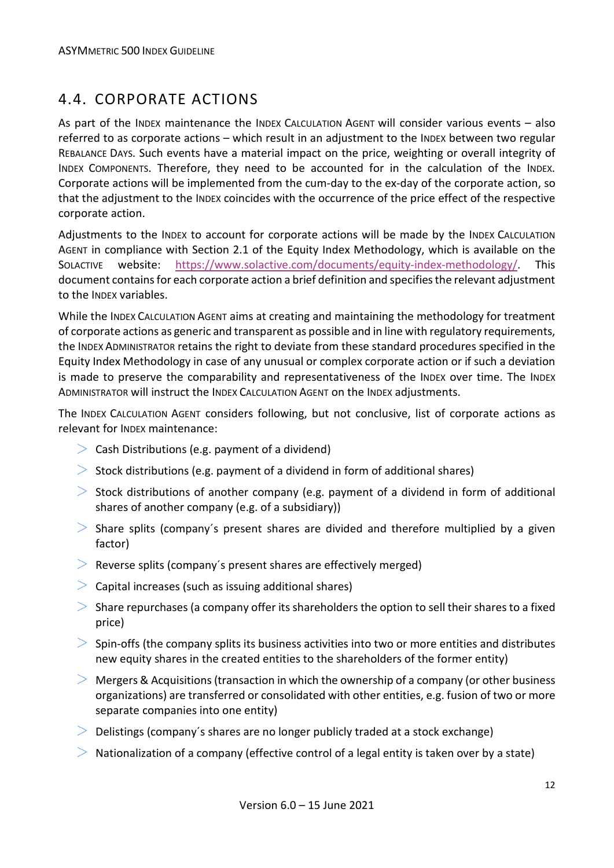#### <span id="page-11-0"></span>4.4. CORPORATE ACTIONS

As part of the INDEX maintenance the INDEX CALCULATION AGENT will consider various events – also referred to as corporate actions – which result in an adjustment to the INDEX between two regular REBALANCE DAYS. Such events have a material impact on the price, weighting or overall integrity of INDEX COMPONENTS. Therefore, they need to be accounted for in the calculation of the INDEX. Corporate actions will be implemented from the cum-day to the ex-day of the corporate action, so that the adjustment to the INDEX coincides with the occurrence of the price effect of the respective corporate action.

Adjustments to the INDEX to account for corporate actions will be made by the INDEX CALCULATION AGENT in compliance with Section 2.1 of the Equity Index Methodology, which is available on the SOLACTIVE website: [https://www.solactive.com/documents/equity-index-methodology/.](https://www.solactive.com/documents/equity-index-methodology/) This document contains for each corporate action a brief definition and specifies the relevant adjustment to the INDEX variables.

While the INDEX CALCULATION AGENT aims at creating and maintaining the methodology for treatment of corporate actions as generic and transparent as possible and in line with regulatory requirements, the INDEX ADMINISTRATOR retains the right to deviate from these standard procedures specified in the Equity Index Methodology in case of any unusual or complex corporate action or if such a deviation is made to preserve the comparability and representativeness of the INDEX over time. The INDEX ADMINISTRATOR will instruct the INDEX CALCULATION AGENT on the INDEX adjustments.

The INDEX CALCULATION AGENT considers following, but not conclusive, list of corporate actions as relevant for INDEX maintenance:

- $\geq$  Cash Distributions (e.g. payment of a dividend)
- $>$  Stock distributions (e.g. payment of a dividend in form of additional shares)
- $>$  Stock distributions of another company (e.g. payment of a dividend in form of additional shares of another company (e.g. of a subsidiary))
- $>$  Share splits (company's present shares are divided and therefore multiplied by a given factor)
- $\geq$  Reverse splits (company's present shares are effectively merged)
- $\geq$  Capital increases (such as issuing additional shares)
- $>$  Share repurchases (a company offer its shareholders the option to sell their shares to a fixed price)
- $>$  Spin-offs (the company splits its business activities into two or more entities and distributes new equity shares in the created entities to the shareholders of the former entity)
- $>$  Mergers & Acquisitions (transaction in which the ownership of a company (or other business organizations) are transferred or consolidated with other entities, e.g. fusion of two or more separate companies into one entity)
- $\geq$  Delistings (company's shares are no longer publicly traded at a stock exchange)
- $\geq$  Nationalization of a company (effective control of a legal entity is taken over by a state)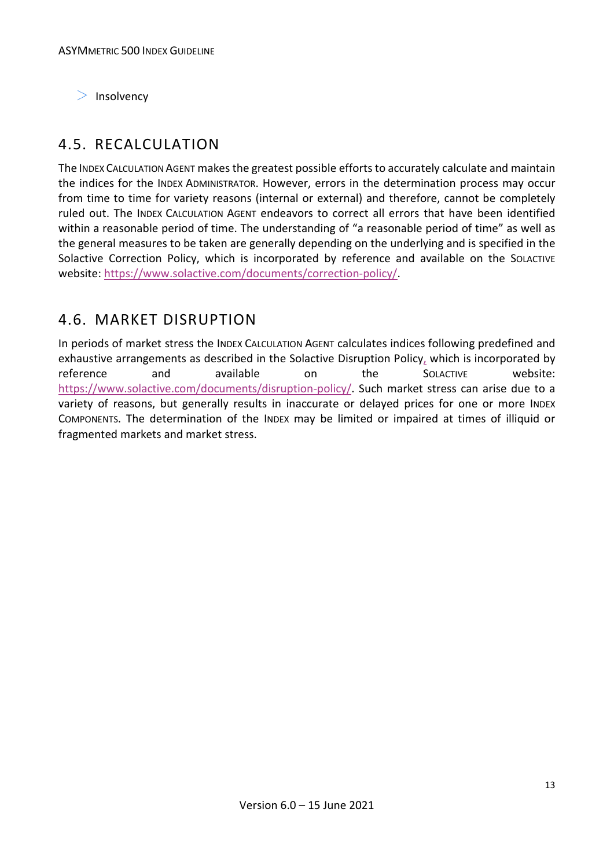$>$  Insolvency

#### <span id="page-12-0"></span>4.5. RECALCULATION

The INDEX CALCULATION AGENT makes the greatest possible efforts to accurately calculate and maintain the indices for the INDEX ADMINISTRATOR. However, errors in the determination process may occur from time to time for variety reasons (internal or external) and therefore, cannot be completely ruled out. The INDEX CALCULATION AGENT endeavors to correct all errors that have been identified within a reasonable period of time. The understanding of "a reasonable period of time" as well as the general measures to be taken are generally depending on the underlying and is specified in the Solactive Correction Policy, which is incorporated by reference and available on the SOLACTIVE website: [https://www.solactive.com/documents/correction-policy/.](https://www.solactive.com/documents/correction-policy/)

#### <span id="page-12-1"></span>4.6. MARKET DISRUPTION

In periods of market stress the INDEX CALCULATION AGENT calculates indices following predefined and exhaustive arrangements as described in the Solactive Disruption Policy, which is incorporated by reference and available on the SOLACTIVE website: [https://www.solactive.com/documents/disruption-policy/.](https://www.solactive.com/documents/disruption-policy/) Such market stress can arise due to a variety of reasons, but generally results in inaccurate or delayed prices for one or more INDEX COMPONENTS. The determination of the INDEX may be limited or impaired at times of illiquid or fragmented markets and market stress.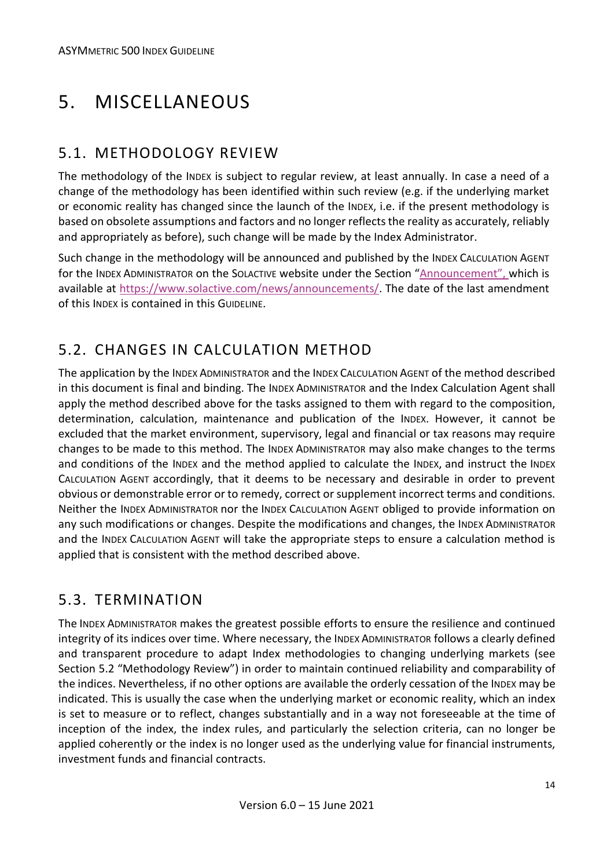# <span id="page-13-0"></span>5. MISCELLANEOUS

#### <span id="page-13-1"></span>5.1. METHODOLOGY REVIEW

The methodology of the INDEX is subject to regular review, at least annually. In case a need of a change of the methodology has been identified within such review (e.g. if the underlying market or economic reality has changed since the launch of the INDEX, i.e. if the present methodology is based on obsolete assumptions and factors and no longer reflects the reality as accurately, reliably and appropriately as before), such change will be made by the Index Administrator.

Such change in the methodology will be announced and published by the INDEX CALCULATION AGENT for the INDEX ADMINISTRATOR on the SOLACTIVE website under the Section "Announcement", which is available at [https://www.solactive.com/news/announcements/.](https://www.solactive.com/news/announcements/) The date of the last amendment of this INDEX is contained in this GUIDELINE.

#### <span id="page-13-2"></span>5.2. CHANGES IN CALCULATION METHOD

The application by the INDEX ADMINISTRATOR and the INDEX CALCULATION AGENT of the method described in this document is final and binding. The INDEX ADMINISTRATOR and the Index Calculation Agent shall apply the method described above for the tasks assigned to them with regard to the composition, determination, calculation, maintenance and publication of the INDEX. However, it cannot be excluded that the market environment, supervisory, legal and financial or tax reasons may require changes to be made to this method. The INDEX ADMINISTRATOR may also make changes to the terms and conditions of the INDEX and the method applied to calculate the INDEX, and instruct the INDEX CALCULATION AGENT accordingly, that it deems to be necessary and desirable in order to prevent obvious or demonstrable error or to remedy, correct or supplement incorrect terms and conditions. Neither the INDEX ADMINISTRATOR nor the INDEX CALCULATION AGENT obliged to provide information on any such modifications or changes. Despite the modifications and changes, the INDEX ADMINISTRATOR and the INDEX CALCULATION AGENT will take the appropriate steps to ensure a calculation method is applied that is consistent with the method described above.

#### <span id="page-13-3"></span>5.3. TERMINATION

The INDEX ADMINISTRATOR makes the greatest possible efforts to ensure the resilience and continued integrity of its indices over time. Where necessary, the INDEX ADMINISTRATOR follows a clearly defined and transparent procedure to adapt Index methodologies to changing underlying markets (see Section 5.2 "Methodology Review") in order to maintain continued reliability and comparability of the indices. Nevertheless, if no other options are available the orderly cessation of the INDEX may be indicated. This is usually the case when the underlying market or economic reality, which an index is set to measure or to reflect, changes substantially and in a way not foreseeable at the time of inception of the index, the index rules, and particularly the selection criteria, can no longer be applied coherently or the index is no longer used as the underlying value for financial instruments, investment funds and financial contracts.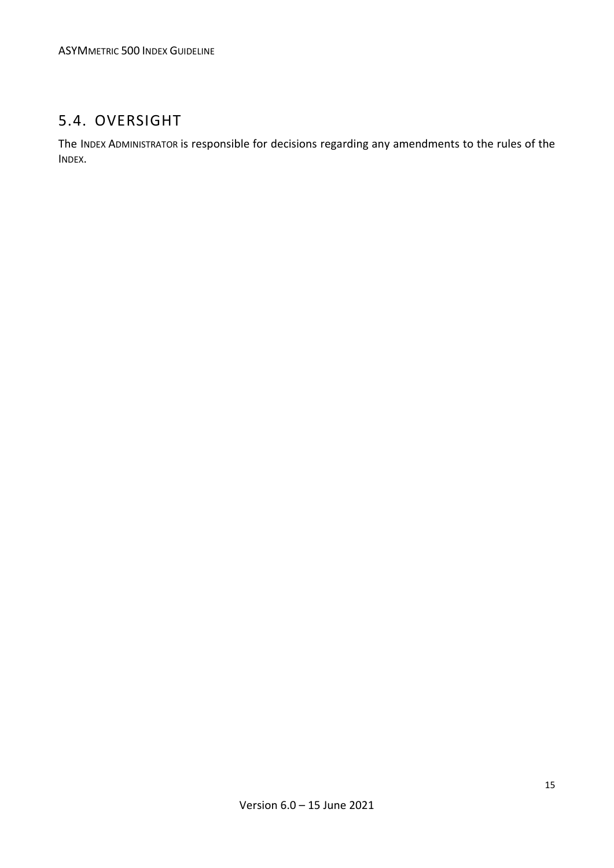#### <span id="page-14-0"></span>5.4. OVERSIGHT

The INDEX ADMINISTRATOR is responsible for decisions regarding any amendments to the rules of the INDEX.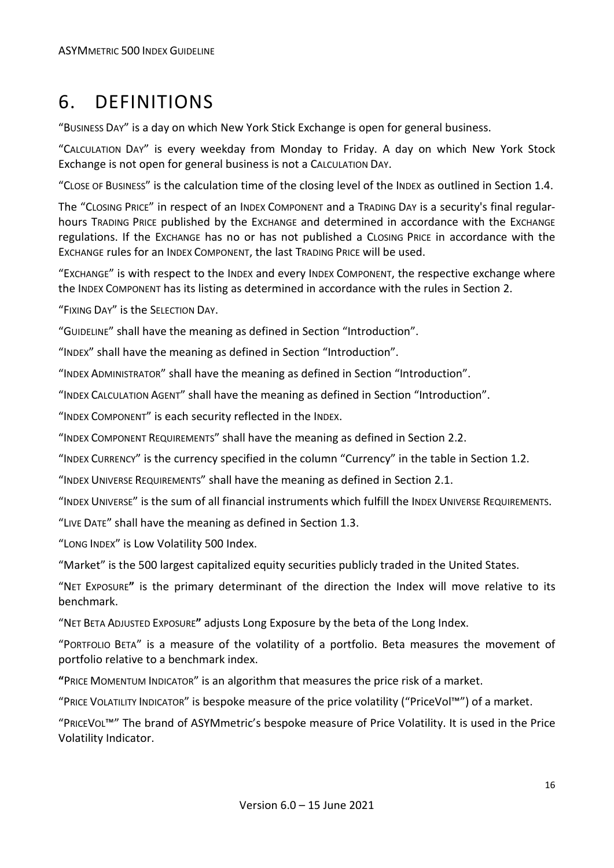### <span id="page-15-0"></span>6. DEFINITIONS

"BUSINESS DAY" is a day on which New York Stick Exchange is open for general business.

"CALCULATION DAY" is every weekday from Monday to Friday. A day on which New York Stock Exchange is not open for general business is not a CALCULATION DAY.

"CLOSE OF BUSINESS" is the calculation time of the closing level of the INDEX as outlined in Section 1.4.

The "CLOSING PRICE" in respect of an INDEX COMPONENT and a TRADING DAY is a security's final regularhours TRADING PRICE published by the EXCHANGE and determined in accordance with the EXCHANGE regulations. If the EXCHANGE has no or has not published a CLOSING PRICE in accordance with the EXCHANGE rules for an INDEX COMPONENT, the last TRADING PRICE will be used.

"EXCHANGE" is with respect to the INDEX and every INDEX COMPONENT, the respective exchange where the INDEX COMPONENT has its listing as determined in accordance with the rules in Section 2.

"FIXING DAY" is the SELECTION DAY.

"GUIDELINE" shall have the meaning as defined in Section "Introduction".

"INDEX" shall have the meaning as defined in Section "Introduction".

"INDEX ADMINISTRATOR" shall have the meaning as defined in Section "Introduction".

"INDEX CALCULATION AGENT" shall have the meaning as defined in Section "Introduction".

"INDEX COMPONENT" is each security reflected in the INDEX.

"INDEX COMPONENT REQUIREMENTS" shall have the meaning as defined in Section 2.2.

"INDEX CURRENCY" is the currency specified in the column "Currency" in the table in Section 1.2.

"INDEX UNIVERSE REQUIREMENTS" shall have the meaning as defined in Section 2.1.

"INDEX UNIVERSE" is the sum of all financial instruments which fulfill the INDEX UNIVERSE REQUIREMENTS.

"LIVE DATE" shall have the meaning as defined in Section 1.3.

"LONG INDEX" is Low Volatility 500 Index.

"Market" is the 500 largest capitalized equity securities publicly traded in the United States.

"NET EXPOSURE**"** is the primary determinant of the direction the Index will move relative to its benchmark.

"NET BETA ADJUSTED EXPOSURE**"** adjusts Long Exposure by the beta of the Long Index.

"PORTFOLIO BETA" is a measure of the volatility of a portfolio. Beta measures the movement of portfolio relative to a benchmark index.

**"**PRICE MOMENTUM INDICATOR" is an algorithm that measures the price risk of a market.

"PRICE VOLATILITY INDICATOR" is bespoke measure of the price volatility ("PriceVol™") of a market.

"PRICEVOL™" The brand of ASYMmetric's bespoke measure of Price Volatility. It is used in the Price Volatility Indicator.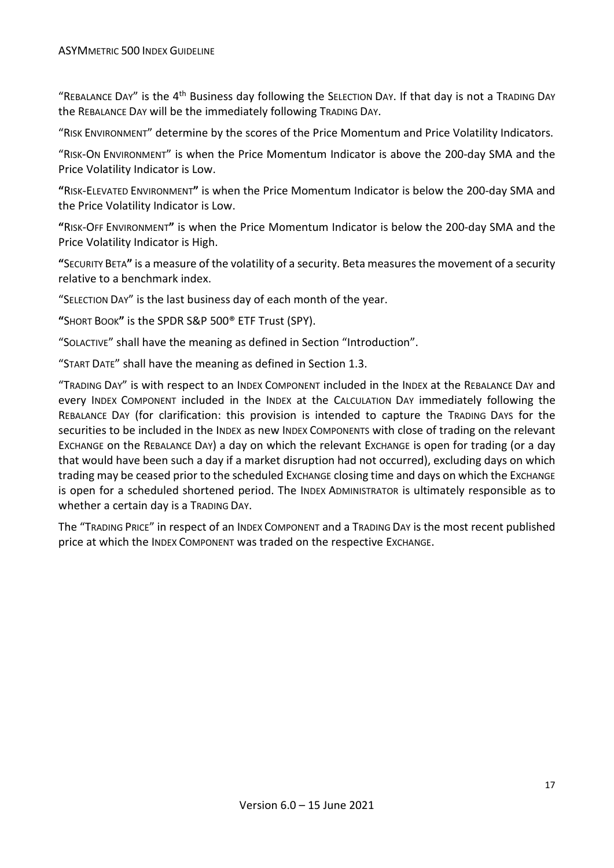"REBALANCE DAY" is the  $4<sup>th</sup>$  Business day following the SELECTION DAY. If that day is not a TRADING DAY the REBALANCE DAY will be the immediately following TRADING DAY.

"RISK ENVIRONMENT" determine by the scores of the Price Momentum and Price Volatility Indicators.

"RISK-ON ENVIRONMENT" is when the Price Momentum Indicator is above the 200-day SMA and the Price Volatility Indicator is Low.

**"**RISK-ELEVATED ENVIRONMENT**"** is when the Price Momentum Indicator is below the 200-day SMA and the Price Volatility Indicator is Low.

**"**RISK-OFF ENVIRONMENT**"** is when the Price Momentum Indicator is below the 200-day SMA and the Price Volatility Indicator is High.

**"**SECURITY BETA**"** is a measure of the volatility of a security. Beta measures the movement of a security relative to a benchmark index.

"SELECTION DAY" is the last business day of each month of the year.

**"**SHORT BOOK**"** is the SPDR S&P 500® ETF Trust (SPY).

"SOLACTIVE" shall have the meaning as defined in Section "Introduction".

"START DATE" shall have the meaning as defined in Section 1.3.

"TRADING DAY" is with respect to an INDEX COMPONENT included in the INDEX at the REBALANCE DAY and every INDEX COMPONENT included in the INDEX at the CALCULATION DAY immediately following the REBALANCE DAY (for clarification: this provision is intended to capture the TRADING DAYS for the securities to be included in the INDEX as new INDEX COMPONENTS with close of trading on the relevant EXCHANGE on the REBALANCE DAY) a day on which the relevant EXCHANGE is open for trading (or a day that would have been such a day if a market disruption had not occurred), excluding days on which trading may be ceased prior to the scheduled Exchange closing time and days on which the Exchange is open for a scheduled shortened period. The INDEX ADMINISTRATOR is ultimately responsible as to whether a certain day is a TRADING DAY.

The "TRADING PRICE" in respect of an INDEX COMPONENT and a TRADING DAY is the most recent published price at which the INDEX COMPONENT was traded on the respective EXCHANGE.